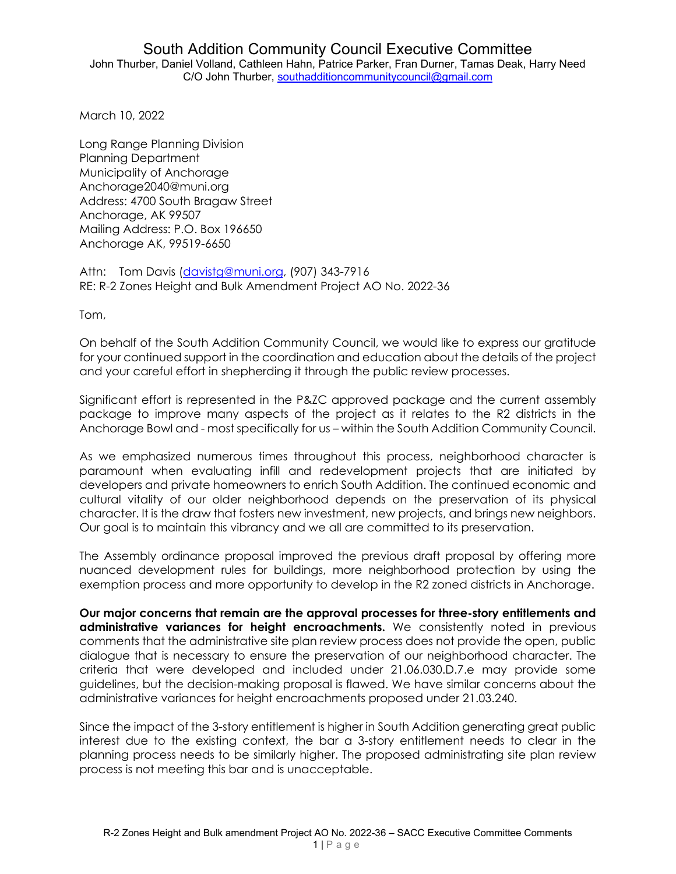March 10, 2022

Long Range Planning Division Planning Department Municipality of Anchorage Anchorage2040@muni.org Address: 4700 South Bragaw Street Anchorage, AK 99507 Mailing Address: P.O. Box 196650 Anchorage AK, 99519-6650

Attn: Tom Davis (davistg@muni.org, (907) 343-7916 RE: R-2 Zones Height and Bulk Amendment Project AO No. 2022-36

Tom,

On behalf of the South Addition Community Council, we would like to express our gratitude for your continued support in the coordination and education about the details of the project and your careful effort in shepherding it through the public review processes.

Significant effort is represented in the P&ZC approved package and the current assembly package to improve many aspects of the project as it relates to the R2 districts in the Anchorage Bowl and - most specifically for us – within the South Addition Community Council.

As we emphasized numerous times throughout this process, neighborhood character is paramount when evaluating infill and redevelopment projects that are initiated by developers and private homeowners to enrich South Addition. The continued economic and cultural vitality of our older neighborhood depends on the preservation of its physical character. It is the draw that fosters new investment, new projects, and brings new neighbors. Our goal is to maintain this vibrancy and we all are committed to its preservation.

The Assembly ordinance proposal improved the previous draft proposal by offering more nuanced development rules for buildings, more neighborhood protection by using the exemption process and more opportunity to develop in the R2 zoned districts in Anchorage.

**Our major concerns that remain are the approval processes for three-story entitlements and administrative variances for height encroachments.** We consistently noted in previous comments that the administrative site plan review process does not provide the open, public dialogue that is necessary to ensure the preservation of our neighborhood character. The criteria that were developed and included under 21.06.030.D.7.e may provide some guidelines, but the decision-making proposal is flawed. We have similar concerns about the administrative variances for height encroachments proposed under 21.03.240.

Since the impact of the 3-story entitlement is higher in South Addition generating great public interest due to the existing context, the bar a 3-story entitlement needs to clear in the planning process needs to be similarly higher. The proposed administrating site plan review process is not meeting this bar and is unacceptable.